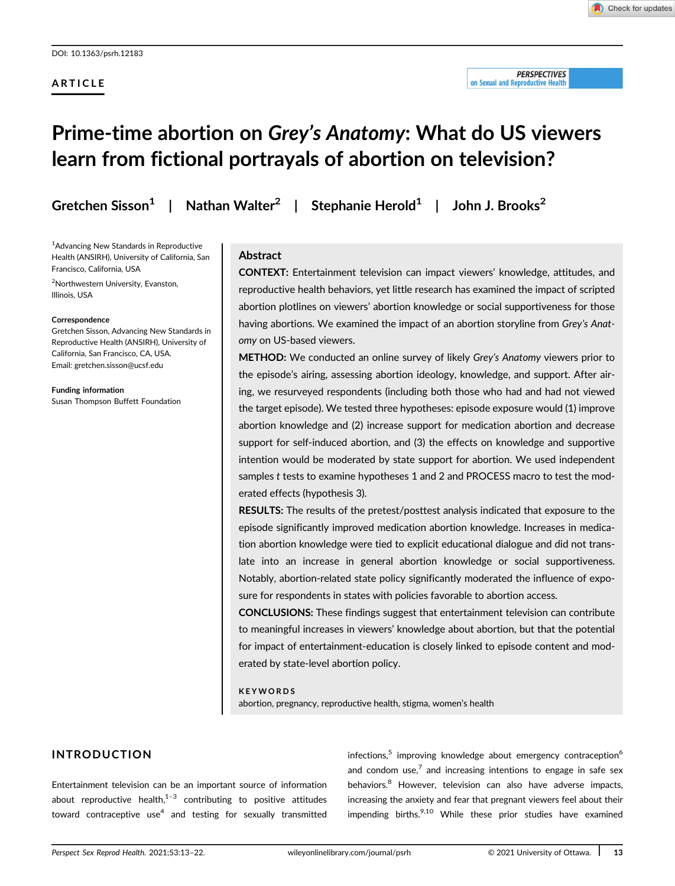## ARTICLE

#### **PERSPECTIVES** on Sexual and Reproductive Health

# Prime-time abortion on Grey's Anatomy: What do US viewers learn from fictional portrayals of abortion on television?

Gretchen Sisson<sup>1</sup> | Nathan Walter<sup>2</sup> | Stephanie Herold<sup>1</sup> | John J. Brooks<sup>2</sup>

1 Advancing New Standards in Reproductive Health (ANSIRH), University of California, San Francisco, California, USA

2 Northwestern University, Evanston, Illinois, USA

#### **Correspondence**

Gretchen Sisson, Advancing New Standards in Reproductive Health (ANSIRH), University of California, San Francisco, CA, USA. Email: [gretchen.sisson@ucsf.edu](mailto:gretchen.sisson@ucsf.edu)

Funding information Susan Thompson Buffett Foundation

## Abstract

CONTEXT: Entertainment television can impact viewers' knowledge, attitudes, and reproductive health behaviors, yet little research has examined the impact of scripted abortion plotlines on viewers' abortion knowledge or social supportiveness for those having abortions. We examined the impact of an abortion storyline from Grey's Anatomy on US-based viewers.

METHOD: We conducted an online survey of likely Grey's Anatomy viewers prior to the episode's airing, assessing abortion ideology, knowledge, and support. After airing, we resurveyed respondents (including both those who had and had not viewed the target episode). We tested three hypotheses: episode exposure would (1) improve abortion knowledge and (2) increase support for medication abortion and decrease support for self-induced abortion, and (3) the effects on knowledge and supportive intention would be moderated by state support for abortion. We used independent samples t tests to examine hypotheses 1 and 2 and PROCESS macro to test the moderated effects (hypothesis 3).

RESULTS: The results of the pretest/posttest analysis indicated that exposure to the episode significantly improved medication abortion knowledge. Increases in medication abortion knowledge were tied to explicit educational dialogue and did not translate into an increase in general abortion knowledge or social supportiveness. Notably, abortion-related state policy significantly moderated the influence of exposure for respondents in states with policies favorable to abortion access.

CONCLUSIONS: These findings suggest that entertainment television can contribute to meaningful increases in viewers' knowledge about abortion, but that the potential for impact of entertainment-education is closely linked to episode content and moderated by state-level abortion policy.

## KEYWORDS

abortion, pregnancy, reproductive health, stigma, women's health

## INTRODUCTION

Entertainment television can be an important source of information about reproductive health, $1-3$  contributing to positive attitudes toward contraceptive use<sup>4</sup> and testing for sexually transmitted

infections,<sup>5</sup> improving knowledge about emergency contraception<sup>6</sup> and condom use,<sup>7</sup> and increasing intentions to engage in safe sex behaviors.<sup>8</sup> However, television can also have adverse impacts, increasing the anxiety and fear that pregnant viewers feel about their impending births. $9,10$  While these prior studies have examined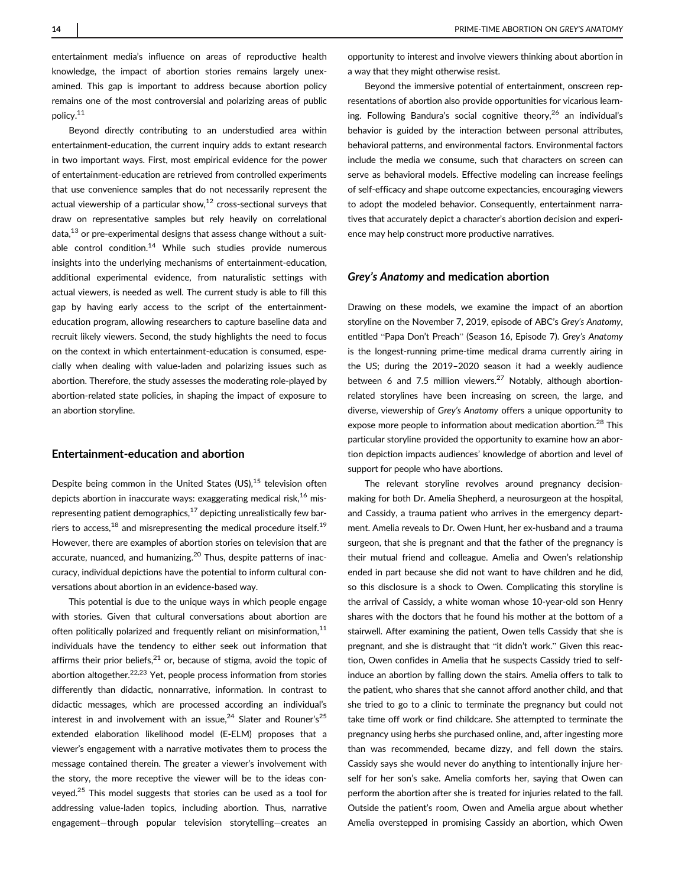entertainment media's influence on areas of reproductive health knowledge, the impact of abortion stories remains largely unexamined. This gap is important to address because abortion policy remains one of the most controversial and polarizing areas of public policy.11

Beyond directly contributing to an understudied area within entertainment-education, the current inquiry adds to extant research in two important ways. First, most empirical evidence for the power of entertainment-education are retrieved from controlled experiments that use convenience samples that do not necessarily represent the actual viewership of a particular show.<sup>12</sup> cross-sectional surveys that draw on representative samples but rely heavily on correlational  $data<sub>13</sub>$  or pre-experimental designs that assess change without a suitable control condition.<sup>14</sup> While such studies provide numerous insights into the underlying mechanisms of entertainment-education, additional experimental evidence, from naturalistic settings with actual viewers, is needed as well. The current study is able to fill this gap by having early access to the script of the entertainmenteducation program, allowing researchers to capture baseline data and recruit likely viewers. Second, the study highlights the need to focus on the context in which entertainment-education is consumed, especially when dealing with value-laden and polarizing issues such as abortion. Therefore, the study assesses the moderating role-played by abortion-related state policies, in shaping the impact of exposure to an abortion storyline.

## Entertainment-education and abortion

Despite being common in the United States  $(US)$ ,  $15$  television often depicts abortion in inaccurate ways: exaggerating medical risk, $16$  misrepresenting patient demographics, $17$  depicting unrealistically few barriers to access,<sup>18</sup> and misrepresenting the medical procedure itself.<sup>19</sup> However, there are examples of abortion stories on television that are accurate, nuanced, and humanizing. $20$  Thus, despite patterns of inaccuracy, individual depictions have the potential to inform cultural conversations about abortion in an evidence-based way.

This potential is due to the unique ways in which people engage with stories. Given that cultural conversations about abortion are often politically polarized and frequently reliant on misinformation, $11$ individuals have the tendency to either seek out information that affirms their prior beliefs, $^{21}$  or, because of stigma, avoid the topic of abortion altogether.<sup>22,23</sup> Yet, people process information from stories differently than didactic, nonnarrative, information. In contrast to didactic messages, which are processed according an individual's interest in and involvement with an issue, $^{24}$  Slater and Rouner's $^{25}$ extended elaboration likelihood model (E-ELM) proposes that a viewer's engagement with a narrative motivates them to process the message contained therein. The greater a viewer's involvement with the story, the more receptive the viewer will be to the ideas conveyed.<sup>25</sup> This model suggests that stories can be used as a tool for addressing value-laden topics, including abortion. Thus, narrative engagement—through popular television storytelling—creates an

opportunity to interest and involve viewers thinking about abortion in a way that they might otherwise resist.

Beyond the immersive potential of entertainment, onscreen representations of abortion also provide opportunities for vicarious learning. Following Bandura's social cognitive theory, $26$  an individual's behavior is guided by the interaction between personal attributes, behavioral patterns, and environmental factors. Environmental factors include the media we consume, such that characters on screen can serve as behavioral models. Effective modeling can increase feelings of self-efficacy and shape outcome expectancies, encouraging viewers to adopt the modeled behavior. Consequently, entertainment narratives that accurately depict a character's abortion decision and experience may help construct more productive narratives.

## Grey's Anatomy and medication abortion

Drawing on these models, we examine the impact of an abortion storyline on the November 7, 2019, episode of ABC's Grey's Anatomy, entitled "Papa Don't Preach" (Season 16, Episode 7). Grey's Anatomy is the longest-running prime-time medical drama currently airing in the US; during the 2019–2020 season it had a weekly audience between 6 and 7.5 million viewers.<sup>27</sup> Notably, although abortionrelated storylines have been increasing on screen, the large, and diverse, viewership of Grey's Anatomy offers a unique opportunity to expose more people to information about medication abortion.<sup>28</sup> This particular storyline provided the opportunity to examine how an abortion depiction impacts audiences' knowledge of abortion and level of support for people who have abortions.

The relevant storyline revolves around pregnancy decisionmaking for both Dr. Amelia Shepherd, a neurosurgeon at the hospital, and Cassidy, a trauma patient who arrives in the emergency department. Amelia reveals to Dr. Owen Hunt, her ex-husband and a trauma surgeon, that she is pregnant and that the father of the pregnancy is their mutual friend and colleague. Amelia and Owen's relationship ended in part because she did not want to have children and he did, so this disclosure is a shock to Owen. Complicating this storyline is the arrival of Cassidy, a white woman whose 10-year-old son Henry shares with the doctors that he found his mother at the bottom of a stairwell. After examining the patient, Owen tells Cassidy that she is pregnant, and she is distraught that "it didn't work." Given this reaction, Owen confides in Amelia that he suspects Cassidy tried to selfinduce an abortion by falling down the stairs. Amelia offers to talk to the patient, who shares that she cannot afford another child, and that she tried to go to a clinic to terminate the pregnancy but could not take time off work or find childcare. She attempted to terminate the pregnancy using herbs she purchased online, and, after ingesting more than was recommended, became dizzy, and fell down the stairs. Cassidy says she would never do anything to intentionally injure herself for her son's sake. Amelia comforts her, saying that Owen can perform the abortion after she is treated for injuries related to the fall. Outside the patient's room, Owen and Amelia argue about whether Amelia overstepped in promising Cassidy an abortion, which Owen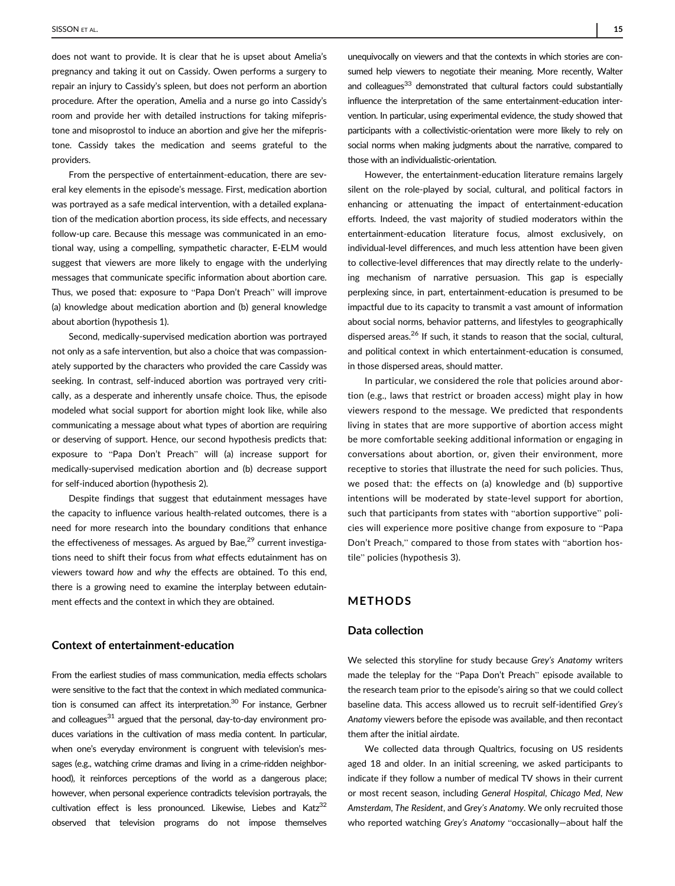does not want to provide. It is clear that he is upset about Amelia's pregnancy and taking it out on Cassidy. Owen performs a surgery to repair an injury to Cassidy's spleen, but does not perform an abortion procedure. After the operation, Amelia and a nurse go into Cassidy's room and provide her with detailed instructions for taking mifepristone and misoprostol to induce an abortion and give her the mifepristone. Cassidy takes the medication and seems grateful to the providers.

From the perspective of entertainment-education, there are several key elements in the episode's message. First, medication abortion was portrayed as a safe medical intervention, with a detailed explanation of the medication abortion process, its side effects, and necessary follow-up care. Because this message was communicated in an emotional way, using a compelling, sympathetic character, E-ELM would suggest that viewers are more likely to engage with the underlying messages that communicate specific information about abortion care. Thus, we posed that: exposure to "Papa Don't Preach" will improve (a) knowledge about medication abortion and (b) general knowledge about abortion (hypothesis 1).

Second, medically-supervised medication abortion was portrayed not only as a safe intervention, but also a choice that was compassionately supported by the characters who provided the care Cassidy was seeking. In contrast, self-induced abortion was portrayed very critically, as a desperate and inherently unsafe choice. Thus, the episode modeled what social support for abortion might look like, while also communicating a message about what types of abortion are requiring or deserving of support. Hence, our second hypothesis predicts that: exposure to "Papa Don't Preach" will (a) increase support for medically-supervised medication abortion and (b) decrease support for self-induced abortion (hypothesis 2).

Despite findings that suggest that edutainment messages have the capacity to influence various health-related outcomes, there is a need for more research into the boundary conditions that enhance the effectiveness of messages. As argued by Bae, $^{29}$  current investigations need to shift their focus from what effects edutainment has on viewers toward how and why the effects are obtained. To this end, there is a growing need to examine the interplay between edutainment effects and the context in which they are obtained.

## Context of entertainment-education

From the earliest studies of mass communication, media effects scholars were sensitive to the fact that the context in which mediated communication is consumed can affect its interpretation. $30$  For instance, Gerbner and colleagues<sup>31</sup> argued that the personal, day-to-day environment produces variations in the cultivation of mass media content. In particular, when one's everyday environment is congruent with television's messages (e.g., watching crime dramas and living in a crime-ridden neighborhood), it reinforces perceptions of the world as a dangerous place; however, when personal experience contradicts television portrayals, the cultivation effect is less pronounced. Likewise, Liebes and Katz<sup>32</sup> observed that television programs do not impose themselves

unequivocally on viewers and that the contexts in which stories are consumed help viewers to negotiate their meaning. More recently, Walter and colleagues<sup>33</sup> demonstrated that cultural factors could substantially influence the interpretation of the same entertainment-education intervention. In particular, using experimental evidence, the study showed that participants with a collectivistic-orientation were more likely to rely on social norms when making judgments about the narrative, compared to those with an individualistic-orientation.

However, the entertainment-education literature remains largely silent on the role-played by social, cultural, and political factors in enhancing or attenuating the impact of entertainment-education efforts. Indeed, the vast majority of studied moderators within the entertainment-education literature focus, almost exclusively, on individual-level differences, and much less attention have been given to collective-level differences that may directly relate to the underlying mechanism of narrative persuasion. This gap is especially perplexing since, in part, entertainment-education is presumed to be impactful due to its capacity to transmit a vast amount of information about social norms, behavior patterns, and lifestyles to geographically dispersed areas.26 If such, it stands to reason that the social, cultural, and political context in which entertainment-education is consumed, in those dispersed areas, should matter.

In particular, we considered the role that policies around abortion (e.g., laws that restrict or broaden access) might play in how viewers respond to the message. We predicted that respondents living in states that are more supportive of abortion access might be more comfortable seeking additional information or engaging in conversations about abortion, or, given their environment, more receptive to stories that illustrate the need for such policies. Thus, we posed that: the effects on (a) knowledge and (b) supportive intentions will be moderated by state-level support for abortion, such that participants from states with "abortion supportive" policies will experience more positive change from exposure to "Papa Don't Preach," compared to those from states with "abortion hostile" policies (hypothesis 3).

## METHODS

## Data collection

We selected this storyline for study because Grey's Anatomy writers made the teleplay for the "Papa Don't Preach" episode available to the research team prior to the episode's airing so that we could collect baseline data. This access allowed us to recruit self-identified Grey's Anatomy viewers before the episode was available, and then recontact them after the initial airdate.

We collected data through Qualtrics, focusing on US residents aged 18 and older. In an initial screening, we asked participants to indicate if they follow a number of medical TV shows in their current or most recent season, including General Hospital, Chicago Med, New Amsterdam, The Resident, and Grey's Anatomy. We only recruited those who reported watching Grey's Anatomy "occasionally—about half the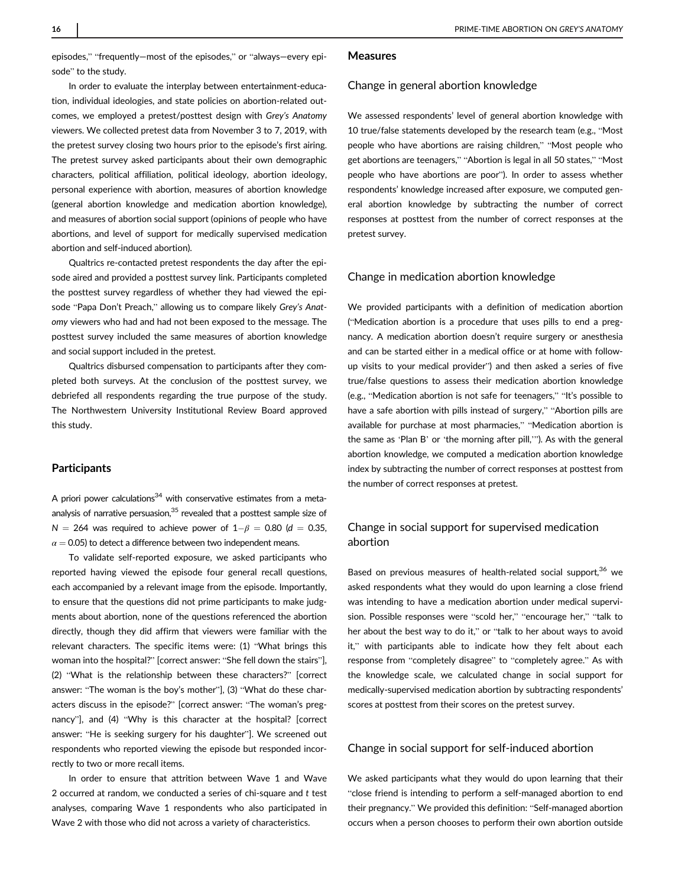episodes," "frequently—most of the episodes," or "always—every episode" to the study.

# In order to evaluate the interplay between entertainment-education, individual ideologies, and state policies on abortion-related out-

comes, we employed a pretest/posttest design with Grey's Anatomy viewers. We collected pretest data from November 3 to 7, 2019, with the pretest survey closing two hours prior to the episode's first airing. The pretest survey asked participants about their own demographic characters, political affiliation, political ideology, abortion ideology, personal experience with abortion, measures of abortion knowledge (general abortion knowledge and medication abortion knowledge), and measures of abortion social support (opinions of people who have abortions, and level of support for medically supervised medication abortion and self-induced abortion).

Qualtrics re-contacted pretest respondents the day after the episode aired and provided a posttest survey link. Participants completed the posttest survey regardless of whether they had viewed the episode "Papa Don't Preach," allowing us to compare likely Grey's Anatomy viewers who had and had not been exposed to the message. The posttest survey included the same measures of abortion knowledge and social support included in the pretest.

Qualtrics disbursed compensation to participants after they completed both surveys. At the conclusion of the posttest survey, we debriefed all respondents regarding the true purpose of the study. The Northwestern University Institutional Review Board approved this study.

## **Participants**

A priori power calculations<sup>34</sup> with conservative estimates from a metaanalysis of narrative persuasion, $35$  revealed that a posttest sample size of N = 264 was required to achieve power of  $1-\beta$  = 0.80 (d = 0.35,  $\alpha$  = 0.05) to detect a difference between two independent means.

To validate self-reported exposure, we asked participants who reported having viewed the episode four general recall questions, each accompanied by a relevant image from the episode. Importantly, to ensure that the questions did not prime participants to make judgments about abortion, none of the questions referenced the abortion directly, though they did affirm that viewers were familiar with the relevant characters. The specific items were: (1) "What brings this woman into the hospital?" [correct answer: "She fell down the stairs"], (2) "What is the relationship between these characters?" [correct answer: "The woman is the boy's mother"], (3) "What do these characters discuss in the episode?" [correct answer: "The woman's pregnancy"], and (4) "Why is this character at the hospital? [correct answer: "He is seeking surgery for his daughter"]. We screened out respondents who reported viewing the episode but responded incorrectly to two or more recall items.

In order to ensure that attrition between Wave 1 and Wave 2 occurred at random, we conducted a series of chi-square and  $t$  test analyses, comparing Wave 1 respondents who also participated in Wave 2 with those who did not across a variety of characteristics.

## Measures

## Change in general abortion knowledge

We assessed respondents' level of general abortion knowledge with 10 true/false statements developed by the research team (e.g., "Most people who have abortions are raising children," "Most people who get abortions are teenagers," "Abortion is legal in all 50 states," "Most people who have abortions are poor"). In order to assess whether respondents' knowledge increased after exposure, we computed general abortion knowledge by subtracting the number of correct responses at posttest from the number of correct responses at the pretest survey.

## Change in medication abortion knowledge

We provided participants with a definition of medication abortion ("Medication abortion is a procedure that uses pills to end a pregnancy. A medication abortion doesn't require surgery or anesthesia and can be started either in a medical office or at home with followup visits to your medical provider") and then asked a series of five true/false questions to assess their medication abortion knowledge (e.g., "Medication abortion is not safe for teenagers," "It's possible to have a safe abortion with pills instead of surgery," "Abortion pills are available for purchase at most pharmacies," "Medication abortion is the same as 'Plan B' or 'the morning after pill,'"). As with the general abortion knowledge, we computed a medication abortion knowledge index by subtracting the number of correct responses at posttest from the number of correct responses at pretest.

## Change in social support for supervised medication abortion

Based on previous measures of health-related social support,<sup>36</sup> we asked respondents what they would do upon learning a close friend was intending to have a medication abortion under medical supervision. Possible responses were "scold her," "encourage her," "talk to her about the best way to do it," or "talk to her about ways to avoid it," with participants able to indicate how they felt about each response from "completely disagree" to "completely agree." As with the knowledge scale, we calculated change in social support for medically-supervised medication abortion by subtracting respondents' scores at posttest from their scores on the pretest survey.

## Change in social support for self-induced abortion

We asked participants what they would do upon learning that their "close friend is intending to perform a self-managed abortion to end their pregnancy." We provided this definition: "Self-managed abortion occurs when a person chooses to perform their own abortion outside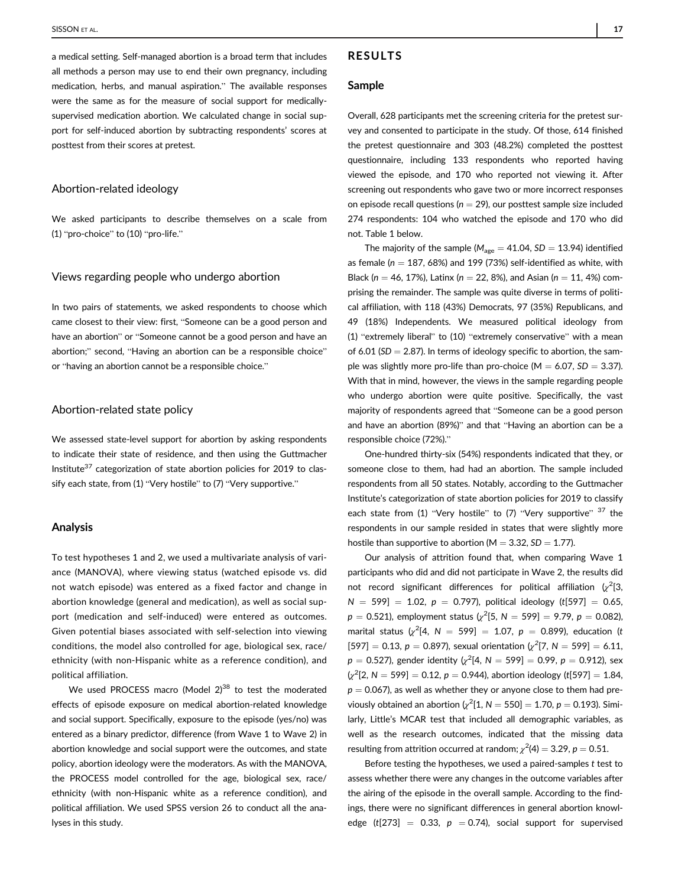a medical setting. Self-managed abortion is a broad term that includes all methods a person may use to end their own pregnancy, including medication, herbs, and manual aspiration." The available responses were the same as for the measure of social support for medicallysupervised medication abortion. We calculated change in social support for self-induced abortion by subtracting respondents' scores at posttest from their scores at pretest.

## Abortion-related ideology

We asked participants to describe themselves on a scale from (1) "pro-choice" to (10) "pro-life."

## Views regarding people who undergo abortion

In two pairs of statements, we asked respondents to choose which came closest to their view: first, "Someone can be a good person and have an abortion" or "Someone cannot be a good person and have an abortion;" second, "Having an abortion can be a responsible choice" or "having an abortion cannot be a responsible choice."

## Abortion-related state policy

We assessed state-level support for abortion by asking respondents to indicate their state of residence, and then using the Guttmacher Institute<sup>37</sup> categorization of state abortion policies for 2019 to classify each state, from (1) "Very hostile" to (7) "Very supportive."

## Analysis

To test hypotheses 1 and 2, we used a multivariate analysis of variance (MANOVA), where viewing status (watched episode vs. did not watch episode) was entered as a fixed factor and change in abortion knowledge (general and medication), as well as social support (medication and self-induced) were entered as outcomes. Given potential biases associated with self-selection into viewing conditions, the model also controlled for age, biological sex, race/ ethnicity (with non-Hispanic white as a reference condition), and political affiliation.

We used PROCESS macro (Model  $2)^{38}$  to test the moderated effects of episode exposure on medical abortion-related knowledge and social support. Specifically, exposure to the episode (yes/no) was entered as a binary predictor, difference (from Wave 1 to Wave 2) in abortion knowledge and social support were the outcomes, and state policy, abortion ideology were the moderators. As with the MANOVA, the PROCESS model controlled for the age, biological sex, race/ ethnicity (with non-Hispanic white as a reference condition), and political affiliation. We used SPSS version 26 to conduct all the analyses in this study.

## RESULTS

#### Sample

Overall, 628 participants met the screening criteria for the pretest survey and consented to participate in the study. Of those, 614 finished the pretest questionnaire and 303 (48.2%) completed the posttest questionnaire, including 133 respondents who reported having viewed the episode, and 170 who reported not viewing it. After screening out respondents who gave two or more incorrect responses on episode recall questions ( $n = 29$ ), our posttest sample size included 274 respondents: 104 who watched the episode and 170 who did not. Table 1 below.

The majority of the sample ( $M_{\text{age}} = 41.04$ , SD = 13.94) identified as female ( $n = 187, 68\%$ ) and 199 (73%) self-identified as white, with Black (n = 46, 17%), Latinx (n = 22, 8%), and Asian (n = 11, 4%) comprising the remainder. The sample was quite diverse in terms of political affiliation, with 118 (43%) Democrats, 97 (35%) Republicans, and 49 (18%) Independents. We measured political ideology from (1) "extremely liberal" to (10) "extremely conservative" with a mean of 6.01 (SD  $= 2.87$ ). In terms of ideology specific to abortion, the sample was slightly more pro-life than pro-choice ( $M = 6.07$ ,  $SD = 3.37$ ). With that in mind, however, the views in the sample regarding people who undergo abortion were quite positive. Specifically, the vast majority of respondents agreed that "Someone can be a good person and have an abortion (89%)" and that "Having an abortion can be a responsible choice (72%)."

One-hundred thirty-six (54%) respondents indicated that they, or someone close to them, had had an abortion. The sample included respondents from all 50 states. Notably, according to the Guttmacher Institute's categorization of state abortion policies for 2019 to classify each state from (1) "Very hostile" to  $(7)$  "Very supportive"  $37$  the respondents in our sample resided in states that were slightly more hostile than supportive to abortion ( $M = 3.32$ ,  $SD = 1.77$ ).

Our analysis of attrition found that, when comparing Wave 1 participants who did and did not participate in Wave 2, the results did not record significant differences for political affiliation  $\langle \chi^2 |3\rangle$  $N = 599$ ] = 1.02,  $p = 0.797$ ), political ideology (t[597] = 0.65,  $p\,=\,0.521$ ), employment status ( $\chi^2[5,\,N= \,599]\,=\,9.79,\,p\,=\,0.082)$ marital status  $\sqrt{x^2}$ [4, N = 599] = 1.07, p = 0.899), education (t  $[597] = 0.13$ ,  $p = 0.897$ ), sexual orientation  $\left(\chi^2[7, N = 599] = 6.11\right)$  $p = 0.527$ ), gender identity  $\left(\chi^2[4,\, N=599] = 0.99,\, p=0.912\right)$ , sex  $\left[\chi^2[2,N=599]=0.12,\, p=0.944\right]$ , abortion ideology (t[597] = 1.84,  $p = 0.067$ ), as well as whether they or anyone close to them had previously obtained an abortion  $\chi^2[1, N = 550] = 1.70$ ,  $p = 0.193$ ). Similarly, Little's MCAR test that included all demographic variables, as well as the research outcomes, indicated that the missing data resulting from attrition occurred at random;  $\chi^2$ (4)  $=3.29$ ,  $p=0.51$ .

Before testing the hypotheses, we used a paired-samples t test to assess whether there were any changes in the outcome variables after the airing of the episode in the overall sample. According to the findings, there were no significant differences in general abortion knowledge (t[273] = 0.33,  $p = 0.74$ ), social support for supervised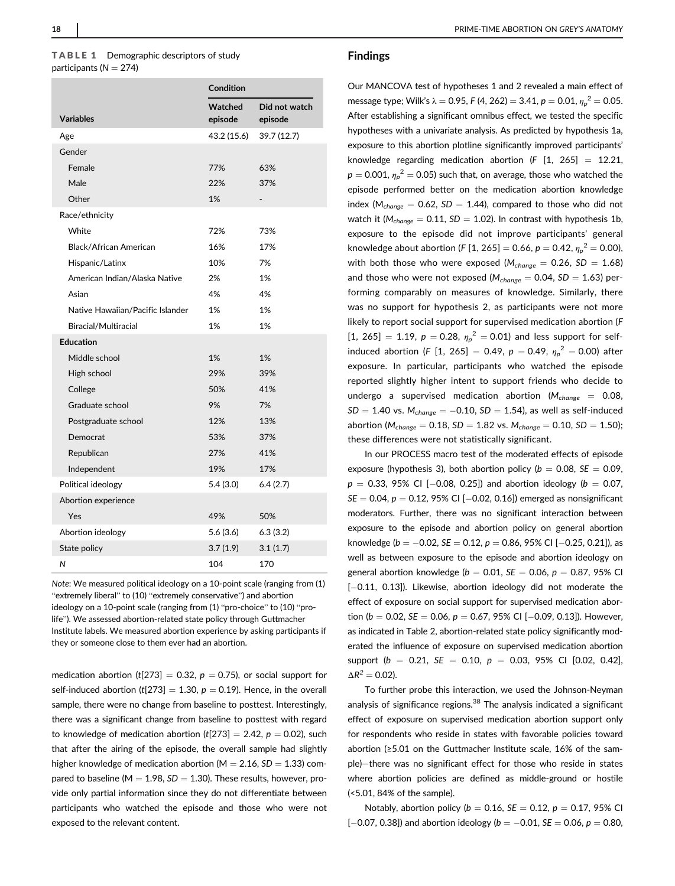## TABLE 1 Demographic descriptors of study participants ( $N = 274$ )

|                                  | Condition          |                          |
|----------------------------------|--------------------|--------------------------|
| <b>Variables</b>                 | Watched<br>episode | Did not watch<br>episode |
| Age                              | 43.2 (15.6)        | 39.7 (12.7)              |
| Gender                           |                    |                          |
| Female                           | 77%                | 63%                      |
| Male                             | 22%                | 37%                      |
| Other                            | 1%                 | -                        |
| Race/ethnicity                   |                    |                          |
| White                            | 72%                | 73%                      |
| Black/African American           | 16%                | 17%                      |
| Hispanic/Latinx                  | 10%                | 7%                       |
| American Indian/Alaska Native    | 2%                 | 1%                       |
| Asian                            | 4%                 | 4%                       |
| Native Hawaiian/Pacific Islander | 1%                 | 1%                       |
| Biracial/Multiracial             | 1%                 | 1%                       |
| <b>Education</b>                 |                    |                          |
| Middle school                    | 1%                 | 1%                       |
| High school                      | 29%                | 39%                      |
| College                          | 50%                | 41%                      |
| Graduate school                  | 9%                 | 7%                       |
| Postgraduate school              | 12%                | 13%                      |
| Democrat                         | 53%                | 37%                      |
| Republican                       | 27%                | 41%                      |
| Independent                      | 19%                | 17%                      |
| Political ideology               | 5.4(3.0)           | 6.4(2.7)                 |
| Abortion experience              |                    |                          |
| Yes                              | 49%                | 50%                      |
| Abortion ideology                | 5.6 (3.6)          | 6.3(3.2)                 |
| State policy                     | 3.7(1.9)           | 3.1(1.7)                 |
| N                                | 104                | 170                      |

Note: We measured political ideology on a 10-point scale (ranging from (1) "extremely liberal" to (10) "extremely conservative") and abortion ideology on a 10-point scale (ranging from (1) "pro-choice" to (10) "prolife"). We assessed abortion-related state policy through Guttmacher Institute labels. We measured abortion experience by asking participants if they or someone close to them ever had an abortion.

medication abortion (t[273] = 0.32,  $p = 0.75$ ), or social support for self-induced abortion (t[273] = 1.30,  $p = 0.19$ ). Hence, in the overall sample, there were no change from baseline to posttest. Interestingly, there was a significant change from baseline to posttest with regard to knowledge of medication abortion  $(t[273] = 2.42, p = 0.02)$ , such that after the airing of the episode, the overall sample had slightly higher knowledge of medication abortion ( $M = 2.16$ ,  $SD = 1.33$ ) compared to baseline ( $M = 1.98$ ,  $SD = 1.30$ ). These results, however, provide only partial information since they do not differentiate between participants who watched the episode and those who were not exposed to the relevant content.

### Findings

Our MANCOVA test of hypotheses 1 and 2 revealed a main effect of message type; Wilk's  $\lambda = 0.95$ , F (4, 262)  $= 3.41$ ,  $p = 0.01$ ,  ${\eta_p}^2 = 0.05$ . After establishing a significant omnibus effect, we tested the specific hypotheses with a univariate analysis. As predicted by hypothesis 1a, exposure to this abortion plotline significantly improved participants' knowledge regarding medication abortion (F  $[1, 265] = 12.21$ ,  $p=0.001$ ,  ${\eta_p}^2=0.05$ ) such that, on average, those who watched the episode performed better on the medication abortion knowledge index ( $M_{change} = 0.62$ ,  $SD = 1.44$ ), compared to those who did not watch it ( $M_{change} = 0.11$ ,  $SD = 1.02$ ). In contrast with hypothesis 1b, exposure to the episode did not improve participants' general knowledge about abortion (F [1, 265] = 0.66,  $p = 0.42, {\eta_p}^2 = 0.00$ ), with both those who were exposed ( $M_{change} = 0.26$ , SD = 1.68) and those who were not exposed ( $M_{change} = 0.04$ ,  $SD = 1.63$ ) performing comparably on measures of knowledge. Similarly, there was no support for hypothesis 2, as participants were not more likely to report social support for supervised medication abortion (F  $[1, 265] = 1.19$ ,  $p = 0.28$ ,  $\eta_p^2 = 0.01$ ) and less support for selfinduced abortion (F [1, 265] = 0.49,  $p = 0.49$ ,  ${\eta_p}^2 = 0.00$ ) after exposure. In particular, participants who watched the episode reported slightly higher intent to support friends who decide to undergo a supervised medication abortion ( $M_{change} = 0.08$ ,  $SD = 1.40$  vs.  $M_{change} = -0.10$ ,  $SD = 1.54$ ), as well as self-induced abortion ( $M_{change} = 0.18$ ,  $SD = 1.82$  vs.  $M_{change} = 0.10$ ,  $SD = 1.50$ ); these differences were not statistically significant.

In our PROCESS macro test of the moderated effects of episode exposure (hypothesis 3), both abortion policy ( $b = 0.08$ ,  $SE = 0.09$ ,  $p = 0.33, 95\%$  CI [-0.08, 0.25]) and abortion ideology ( $b = 0.07$ ,  $SE = 0.04$ ,  $p = 0.12$ , 95% CI [-0.02, 0.16]) emerged as nonsignificant moderators. Further, there was no significant interaction between exposure to the episode and abortion policy on general abortion knowledge ( $b = -0.02$ ,  $SE = 0.12$ ,  $p = 0.86$ , 95% CI [-0.25, 0.21]), as well as between exposure to the episode and abortion ideology on general abortion knowledge ( $b = 0.01$ ,  $SE = 0.06$ ,  $p = 0.87$ , 95% CI  $[-0.11, 0.13]$ ). Likewise, abortion ideology did not moderate the effect of exposure on social support for supervised medication abortion ( $b = 0.02$ , SE = 0.06,  $p = 0.67$ , 95% CI [-0.09, 0.13]). However, as indicated in Table 2, abortion-related state policy significantly moderated the influence of exposure on supervised medication abortion support ( $b = 0.21$ ,  $SE = 0.10$ ,  $p = 0.03$ , 95% CI [0.02, 0.42],  $\Delta R^2 = 0.02$ ).

To further probe this interaction, we used the Johnson-Neyman analysis of significance regions.<sup>38</sup> The analysis indicated a significant effect of exposure on supervised medication abortion support only for respondents who reside in states with favorable policies toward abortion (≥5.01 on the Guttmacher Institute scale, 16% of the sample)—there was no significant effect for those who reside in states where abortion policies are defined as middle-ground or hostile (<5.01, 84% of the sample).

Notably, abortion policy ( $b = 0.16$ ,  $SE = 0.12$ ,  $p = 0.17$ , 95% CI  $[-0.07, 0.38]$ ) and abortion ideology ( $b = -0.01$ , SE = 0.06,  $p = 0.80$ ,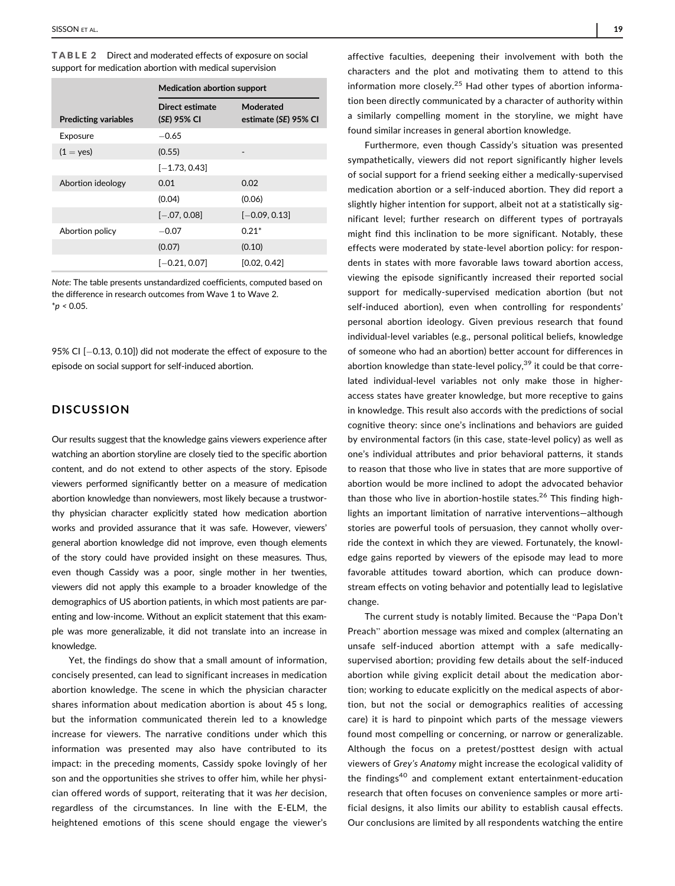| support for medication abortion with medical supervision |                                       |                                  |  |
|----------------------------------------------------------|---------------------------------------|----------------------------------|--|
|                                                          | <b>Medication abortion support</b>    |                                  |  |
| <b>Predicting variables</b>                              | <b>Direct estimate</b><br>(SE) 95% CI | Moderated<br>estimate (SE) 95% C |  |

TABLE 2 Direct and moderated effects of exposure on social

| <b>Predicting variables</b> | (SE) 95% CI     | estimate (SE) 95% CI |
|-----------------------------|-----------------|----------------------|
| Exposure                    | $-0.65$         |                      |
| $(1 = yes)$                 | (0.55)          | ٠                    |
|                             | $[-1.73, 0.43]$ |                      |
| Abortion ideology           | 0.01            | 0.02                 |
|                             | (0.04)          | (0.06)               |
|                             | $[-.07, 0.08]$  | $[-0.09, 0.13]$      |
| Abortion policy             | $-0.07$         | $0.21*$              |
|                             | (0.07)          | (0.10)               |
|                             | $[-0.21, 0.07]$ | [0.02, 0.42]         |

Note: The table presents unstandardized coefficients, computed based on the difference in research outcomes from Wave 1 to Wave 2.  $*$ *p* < 0.05.

95% CI  $[-0.13, 0.10]$ ) did not moderate the effect of exposure to the episode on social support for self-induced abortion.

## **DISCUSSION**

Our results suggest that the knowledge gains viewers experience after watching an abortion storyline are closely tied to the specific abortion content, and do not extend to other aspects of the story. Episode viewers performed significantly better on a measure of medication abortion knowledge than nonviewers, most likely because a trustworthy physician character explicitly stated how medication abortion works and provided assurance that it was safe. However, viewers' general abortion knowledge did not improve, even though elements of the story could have provided insight on these measures. Thus, even though Cassidy was a poor, single mother in her twenties, viewers did not apply this example to a broader knowledge of the demographics of US abortion patients, in which most patients are parenting and low-income. Without an explicit statement that this example was more generalizable, it did not translate into an increase in knowledge.

Yet, the findings do show that a small amount of information, concisely presented, can lead to significant increases in medication abortion knowledge. The scene in which the physician character shares information about medication abortion is about 45 s long, but the information communicated therein led to a knowledge increase for viewers. The narrative conditions under which this information was presented may also have contributed to its impact: in the preceding moments, Cassidy spoke lovingly of her son and the opportunities she strives to offer him, while her physician offered words of support, reiterating that it was her decision, regardless of the circumstances. In line with the E-ELM, the heightened emotions of this scene should engage the viewer's

affective faculties, deepening their involvement with both the characters and the plot and motivating them to attend to this information more closely.<sup>25</sup> Had other types of abortion information been directly communicated by a character of authority within a similarly compelling moment in the storyline, we might have found similar increases in general abortion knowledge.

Furthermore, even though Cassidy's situation was presented sympathetically, viewers did not report significantly higher levels of social support for a friend seeking either a medically-supervised medication abortion or a self-induced abortion. They did report a slightly higher intention for support, albeit not at a statistically significant level; further research on different types of portrayals might find this inclination to be more significant. Notably, these effects were moderated by state-level abortion policy: for respondents in states with more favorable laws toward abortion access, viewing the episode significantly increased their reported social support for medically-supervised medication abortion (but not self-induced abortion), even when controlling for respondents' personal abortion ideology. Given previous research that found individual-level variables (e.g., personal political beliefs, knowledge of someone who had an abortion) better account for differences in abortion knowledge than state-level policy, $39$  it could be that correlated individual-level variables not only make those in higheraccess states have greater knowledge, but more receptive to gains in knowledge. This result also accords with the predictions of social cognitive theory: since one's inclinations and behaviors are guided by environmental factors (in this case, state-level policy) as well as one's individual attributes and prior behavioral patterns, it stands to reason that those who live in states that are more supportive of abortion would be more inclined to adopt the advocated behavior than those who live in abortion-hostile states.<sup>26</sup> This finding highlights an important limitation of narrative interventions—although stories are powerful tools of persuasion, they cannot wholly override the context in which they are viewed. Fortunately, the knowledge gains reported by viewers of the episode may lead to more favorable attitudes toward abortion, which can produce downstream effects on voting behavior and potentially lead to legislative change.

The current study is notably limited. Because the "Papa Don't Preach" abortion message was mixed and complex (alternating an unsafe self-induced abortion attempt with a safe medicallysupervised abortion; providing few details about the self-induced abortion while giving explicit detail about the medication abortion; working to educate explicitly on the medical aspects of abortion, but not the social or demographics realities of accessing care) it is hard to pinpoint which parts of the message viewers found most compelling or concerning, or narrow or generalizable. Although the focus on a pretest/posttest design with actual viewers of Grey's Anatomy might increase the ecological validity of the findings<sup>40</sup> and complement extant entertainment-education research that often focuses on convenience samples or more artificial designs, it also limits our ability to establish causal effects. Our conclusions are limited by all respondents watching the entire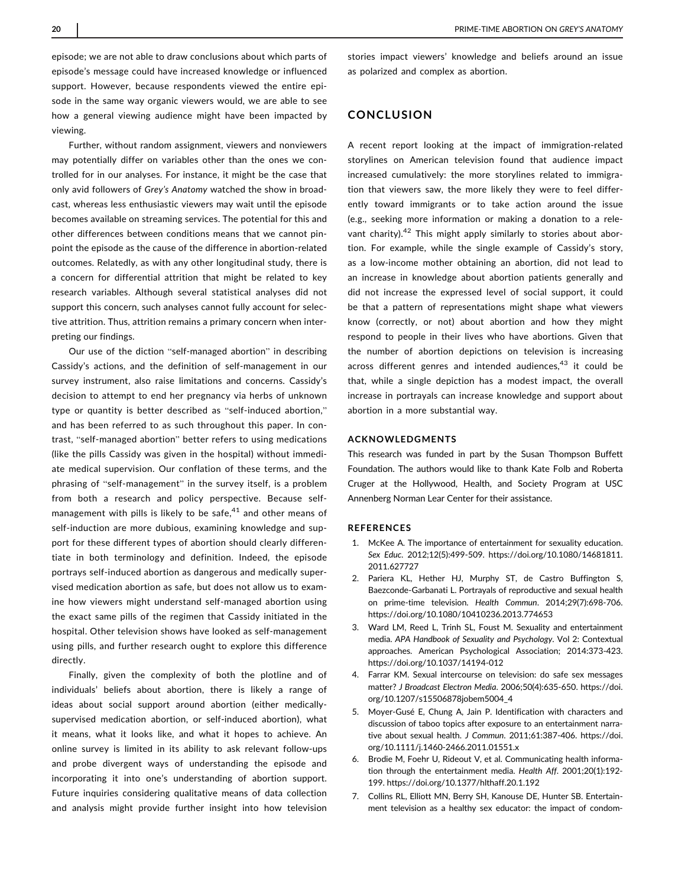episode; we are not able to draw conclusions about which parts of episode's message could have increased knowledge or influenced support. However, because respondents viewed the entire episode in the same way organic viewers would, we are able to see how a general viewing audience might have been impacted by viewing.

Further, without random assignment, viewers and nonviewers may potentially differ on variables other than the ones we controlled for in our analyses. For instance, it might be the case that only avid followers of Grey's Anatomy watched the show in broadcast, whereas less enthusiastic viewers may wait until the episode becomes available on streaming services. The potential for this and other differences between conditions means that we cannot pinpoint the episode as the cause of the difference in abortion-related outcomes. Relatedly, as with any other longitudinal study, there is a concern for differential attrition that might be related to key research variables. Although several statistical analyses did not support this concern, such analyses cannot fully account for selective attrition. Thus, attrition remains a primary concern when interpreting our findings.

Our use of the diction "self-managed abortion" in describing Cassidy's actions, and the definition of self-management in our survey instrument, also raise limitations and concerns. Cassidy's decision to attempt to end her pregnancy via herbs of unknown type or quantity is better described as "self-induced abortion," and has been referred to as such throughout this paper. In contrast, "self-managed abortion" better refers to using medications (like the pills Cassidy was given in the hospital) without immediate medical supervision. Our conflation of these terms, and the phrasing of "self-management" in the survey itself, is a problem from both a research and policy perspective. Because selfmanagement with pills is likely to be safe, $41$  and other means of self-induction are more dubious, examining knowledge and support for these different types of abortion should clearly differentiate in both terminology and definition. Indeed, the episode portrays self-induced abortion as dangerous and medically supervised medication abortion as safe, but does not allow us to examine how viewers might understand self-managed abortion using the exact same pills of the regimen that Cassidy initiated in the hospital. Other television shows have looked as self-management using pills, and further research ought to explore this difference directly.

Finally, given the complexity of both the plotline and of individuals' beliefs about abortion, there is likely a range of ideas about social support around abortion (either medicallysupervised medication abortion, or self-induced abortion), what it means, what it looks like, and what it hopes to achieve. An online survey is limited in its ability to ask relevant follow-ups and probe divergent ways of understanding the episode and incorporating it into one's understanding of abortion support. Future inquiries considering qualitative means of data collection and analysis might provide further insight into how television

stories impact viewers' knowledge and beliefs around an issue as polarized and complex as abortion.

## CONCLUSION

A recent report looking at the impact of immigration-related storylines on American television found that audience impact increased cumulatively: the more storylines related to immigration that viewers saw, the more likely they were to feel differently toward immigrants or to take action around the issue (e.g., seeking more information or making a donation to a relevant charity).<sup>42</sup> This might apply similarly to stories about abortion. For example, while the single example of Cassidy's story, as a low-income mother obtaining an abortion, did not lead to an increase in knowledge about abortion patients generally and did not increase the expressed level of social support, it could be that a pattern of representations might shape what viewers know (correctly, or not) about abortion and how they might respond to people in their lives who have abortions. Given that the number of abortion depictions on television is increasing across different genres and intended audiences,<sup>43</sup> it could be that, while a single depiction has a modest impact, the overall increase in portrayals can increase knowledge and support about abortion in a more substantial way.

#### ACKNOWLEDGMENTS

This research was funded in part by the Susan Thompson Buffett Foundation. The authors would like to thank Kate Folb and Roberta Cruger at the Hollywood, Health, and Society Program at USC Annenberg Norman Lear Center for their assistance.

#### REFERENCES

- 1. McKee A. The importance of entertainment for sexuality education. Sex Educ. 2012;12(5):499-509. [https://doi.org/10.1080/14681811.](https://doi.org/10.1080/14681811.2011.627727) [2011.627727](https://doi.org/10.1080/14681811.2011.627727)
- 2. Pariera KL, Hether HJ, Murphy ST, de Castro Buffington S, Baezconde-Garbanati L. Portrayals of reproductive and sexual health on prime-time television. Health Commun. 2014;29(7):698-706. <https://doi.org/10.1080/10410236.2013.774653>
- 3. Ward LM, Reed L, Trinh SL, Foust M. Sexuality and entertainment media. APA Handbook of Sexuality and Psychology. Vol 2: Contextual approaches. American Psychological Association; 2014:373-423. <https://doi.org/10.1037/14194-012>
- 4. Farrar KM. Sexual intercourse on television: do safe sex messages matter? J Broadcast Electron Media. 2006;50(4):635-650. [https://doi.](https://doi.org/10.1207/s15506878jobem5004_4) [org/10.1207/s15506878jobem5004\\_4](https://doi.org/10.1207/s15506878jobem5004_4)
- 5. Moyer-Gusé E, Chung A, Jain P. Identification with characters and discussion of taboo topics after exposure to an entertainment narrative about sexual health. J Commun. 2011;61:387-406. [https://doi.](https://doi.org/10.1111/j.1460-2466.2011.01551.x) [org/10.1111/j.1460-2466.2011.01551.x](https://doi.org/10.1111/j.1460-2466.2011.01551.x)
- 6. Brodie M, Foehr U, Rideout V, et al. Communicating health information through the entertainment media. Health Aff. 2001;20(1):192- 199.<https://doi.org/10.1377/hlthaff.20.1.192>
- 7. Collins RL, Elliott MN, Berry SH, Kanouse DE, Hunter SB. Entertainment television as a healthy sex educator: the impact of condom-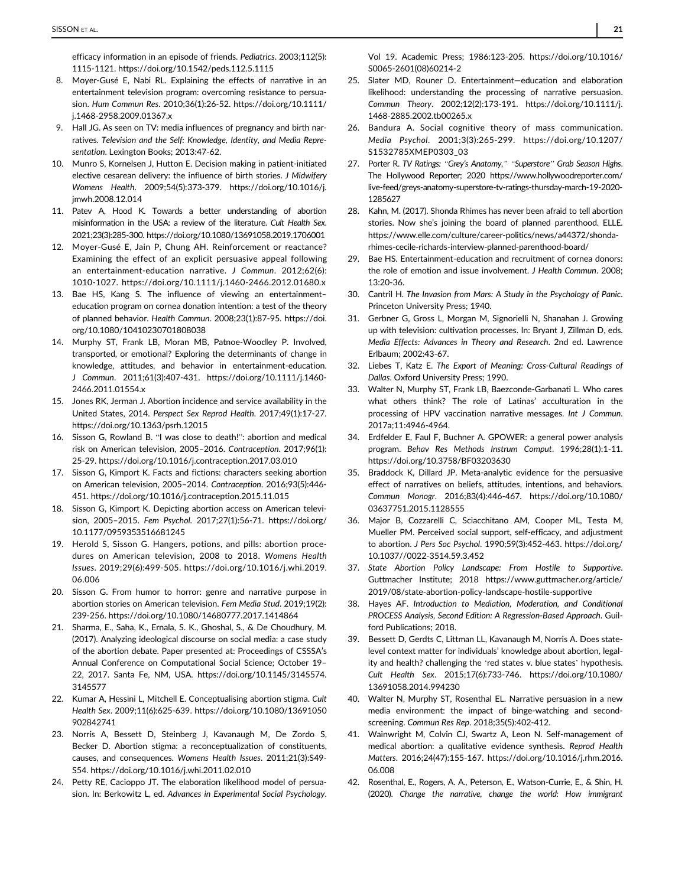efficacy information in an episode of friends. Pediatrics. 2003;112(5): 1115-1121.<https://doi.org/10.1542/peds.112.5.1115>

- 8. Moyer-Gusé E, Nabi RL. Explaining the effects of narrative in an entertainment television program: overcoming resistance to persuasion. Hum Commun Res. 2010;36(1):26-52. [https://doi.org/10.1111/](https://doi.org/10.1111/j.1468-2958.2009.01367.x) [j.1468-2958.2009.01367.x](https://doi.org/10.1111/j.1468-2958.2009.01367.x)
- 9. Hall JG. As seen on TV: media influences of pregnancy and birth narratives. Television and the Self: Knowledge, Identity, and Media Representation. Lexington Books; 2013:47-62.
- 10. Munro S, Kornelsen J, Hutton E. Decision making in patient-initiated elective cesarean delivery: the influence of birth stories. J Midwifery Womens Health. 2009;54(5):373-379. [https://doi.org/10.1016/j.](https://doi.org/10.1016/j.jmwh.2008.12.014) [jmwh.2008.12.014](https://doi.org/10.1016/j.jmwh.2008.12.014)
- 11. Patev A, Hood K. Towards a better understanding of abortion misinformation in the USA: a review of the literature. Cult Health Sex. 2021;23(3):285-300.<https://doi.org/10.1080/13691058.2019.1706001>
- 12. Moyer-Gusé E, Jain P, Chung AH. Reinforcement or reactance? Examining the effect of an explicit persuasive appeal following an entertainment-education narrative. J Commun. 2012;62(6): 1010-1027.<https://doi.org/10.1111/j.1460-2466.2012.01680.x>
- 13. Bae HS, Kang S. The influence of viewing an entertainment– education program on cornea donation intention: a test of the theory of planned behavior. Health Commun. 2008;23(1):87-95. [https://doi.](https://doi.org/10.1080/10410230701808038) [org/10.1080/10410230701808038](https://doi.org/10.1080/10410230701808038)
- 14. Murphy ST, Frank LB, Moran MB, Patnoe-Woodley P. Involved, transported, or emotional? Exploring the determinants of change in knowledge, attitudes, and behavior in entertainment-education. J Commun. 2011;61(3):407-431. [https://doi.org/10.1111/j.1460-](https://doi.org/10.1111/j.1460-2466.2011.01554.x) [2466.2011.01554.x](https://doi.org/10.1111/j.1460-2466.2011.01554.x)
- 15. Jones RK, Jerman J. Abortion incidence and service availability in the United States, 2014. Perspect Sex Reprod Health. 2017;49(1):17-27. <https://doi.org/10.1363/psrh.12015>
- 16. Sisson G, Rowland B. "I was close to death!": abortion and medical risk on American television, 2005–2016. Contraception. 2017;96(1): 25-29.<https://doi.org/10.1016/j.contraception.2017.03.010>
- 17. Sisson G, Kimport K. Facts and fictions: characters seeking abortion on American television, 2005–2014. Contraception. 2016;93(5):446- 451.<https://doi.org/10.1016/j.contraception.2015.11.015>
- 18. Sisson G, Kimport K. Depicting abortion access on American television, 2005–2015. Fem Psychol. 2017;27(1):56-71. [https://doi.org/](https://doi.org/10.1177/0959353516681245) [10.1177/0959353516681245](https://doi.org/10.1177/0959353516681245)
- 19. Herold S, Sisson G. Hangers, potions, and pills: abortion procedures on American television, 2008 to 2018. Womens Health Issues. 2019;29(6):499-505. [https://doi.org/10.1016/j.whi.2019.](https://doi.org/10.1016/j.whi.2019.06.006) [06.006](https://doi.org/10.1016/j.whi.2019.06.006)
- 20. Sisson G. From humor to horror: genre and narrative purpose in abortion stories on American television. Fem Media Stud. 2019;19(2): 239-256.<https://doi.org/10.1080/14680777.2017.1414864>
- 21. Sharma, E., Saha, K., Ernala, S. K., Ghoshal, S., & De Choudhury, M. (2017). Analyzing ideological discourse on social media: a case study of the abortion debate. Paper presented at: Proceedings of CSSSA's Annual Conference on Computational Social Science; October 19– 22, 2017. Santa Fe, NM, USA. [https://doi.org/10.1145/3145574.](https://doi.org/10.1145/3145574.3145577) [3145577](https://doi.org/10.1145/3145574.3145577)
- 22. Kumar A, Hessini L, Mitchell E. Conceptualising abortion stigma. Cult Health Sex. 2009;11(6):625-639. [https://doi.org/10.1080/13691050](https://doi.org/10.1080/13691050902842741) [902842741](https://doi.org/10.1080/13691050902842741)
- 23. Norris A, Bessett D, Steinberg J, Kavanaugh M, De Zordo S, Becker D. Abortion stigma: a reconceptualization of constituents, causes, and consequences. Womens Health Issues. 2011;21(3):S49- S54.<https://doi.org/10.1016/j.whi.2011.02.010>
- 24. Petty RE, Cacioppo JT. The elaboration likelihood model of persuasion. In: Berkowitz L, ed. Advances in Experimental Social Psychology.

Vol 19. Academic Press; 1986:123-205. [https://doi.org/10.1016/](https://doi.org/10.1016/S0065-2601(08)60214-2) [S0065-2601\(08\)60214-2](https://doi.org/10.1016/S0065-2601(08)60214-2)

- 25. Slater MD, Rouner D. Entertainment—education and elaboration likelihood: understanding the processing of narrative persuasion. Commun Theory. 2002;12(2):173-191. [https://doi.org/10.1111/j.](https://doi.org/10.1111/j.1468-2885.2002.tb00265.x) [1468-2885.2002.tb00265.x](https://doi.org/10.1111/j.1468-2885.2002.tb00265.x)
- 26. Bandura A. Social cognitive theory of mass communication. Media Psychol. 2001;3(3):265-299. [https://doi.org/10.1207/](https://doi.org/10.1207/S1532785XMEP0303_03) [S1532785XMEP0303\\_03](https://doi.org/10.1207/S1532785XMEP0303_03)
- 27. Porter R. TV Ratings: "Grey's Anatomy," "Superstore" Grab Season Highs. The Hollywood Reporter; 2020 [https://www.hollywoodreporter.com/](https://www.hollywoodreporter.com/live-feed/greys-anatomy-superstore-tv-ratings-thursday-march-19-2020-1285627) [live-feed/greys-anatomy-superstore-tv-ratings-thursday-march-19-2020-](https://www.hollywoodreporter.com/live-feed/greys-anatomy-superstore-tv-ratings-thursday-march-19-2020-1285627) [1285627](https://www.hollywoodreporter.com/live-feed/greys-anatomy-superstore-tv-ratings-thursday-march-19-2020-1285627)
- 28. Kahn, M. (2017). Shonda Rhimes has never been afraid to tell abortion stories. Now she's joining the board of planned parenthood. ELLE. [https://www.elle.com/culture/career-politics/news/a44372/shonda](https://www.elle.com/culture/career-politics/news/a44372/shonda-rhimes-cecile-richards-interview-planned-parenthood-board/)[rhimes-cecile-richards-interview-planned-parenthood-board/](https://www.elle.com/culture/career-politics/news/a44372/shonda-rhimes-cecile-richards-interview-planned-parenthood-board/)
- 29. Bae HS. Entertainment-education and recruitment of cornea donors: the role of emotion and issue involvement. J Health Commun. 2008; 13:20-36.
- 30. Cantril H. The Invasion from Mars: A Study in the Psychology of Panic. Princeton University Press; 1940.
- 31. Gerbner G, Gross L, Morgan M, Signorielli N, Shanahan J. Growing up with television: cultivation processes. In: Bryant J, Zillman D, eds. Media Effects: Advances in Theory and Research. 2nd ed. Lawrence Erlbaum; 2002:43-67.
- 32. Liebes T, Katz E. The Export of Meaning: Cross-Cultural Readings of Dallas. Oxford University Press; 1990.
- 33. Walter N, Murphy ST, Frank LB, Baezconde-Garbanati L. Who cares what others think? The role of Latinas' acculturation in the processing of HPV vaccination narrative messages. Int J Commun. 2017a;11:4946-4964.
- 34. Erdfelder E, Faul F, Buchner A. GPOWER: a general power analysis program. Behav Res Methods Instrum Comput. 1996;28(1):1-11. <https://doi.org/10.3758/BF03203630>
- 35. Braddock K, Dillard JP. Meta-analytic evidence for the persuasive effect of narratives on beliefs, attitudes, intentions, and behaviors. Commun Monogr. 2016;83(4):446-467. [https://doi.org/10.1080/](https://doi.org/10.1080/03637751.2015.1128555) [03637751.2015.1128555](https://doi.org/10.1080/03637751.2015.1128555)
- 36. Major B, Cozzarelli C, Sciacchitano AM, Cooper ML, Testa M, Mueller PM. Perceived social support, self-efficacy, and adjustment to abortion. J Pers Soc Psychol. 1990;59(3):452-463. [https://doi.org/](https://doi.org/10.1037//0022-3514.59.3.452) [10.1037//0022-3514.59.3.452](https://doi.org/10.1037//0022-3514.59.3.452)
- 37. State Abortion Policy Landscape: From Hostile to Supportive. Guttmacher Institute; 2018 [https://www.guttmacher.org/article/](https://www.guttmacher.org/article/2019/08/state-abortion-policy-landscape-hostile-supportive) [2019/08/state-abortion-policy-landscape-hostile-supportive](https://www.guttmacher.org/article/2019/08/state-abortion-policy-landscape-hostile-supportive)
- 38. Hayes AF. Introduction to Mediation, Moderation, and Conditional PROCESS Analysis, Second Edition: A Regression-Based Approach. Guilford Publications; 2018.
- 39. Bessett D, Gerdts C, Littman LL, Kavanaugh M, Norris A. Does statelevel context matter for individuals' knowledge about abortion, legality and health? challenging the 'red states v. blue states' hypothesis. Cult Health Sex. 2015;17(6):733-746. [https://doi.org/10.1080/](https://doi.org/10.1080/13691058.2014.994230) [13691058.2014.994230](https://doi.org/10.1080/13691058.2014.994230)
- 40. Walter N, Murphy ST, Rosenthal EL. Narrative persuasion in a new media environment: the impact of binge-watching and secondscreening. Commun Res Rep. 2018;35(5):402-412.
- 41. Wainwright M, Colvin CJ, Swartz A, Leon N. Self-management of medical abortion: a qualitative evidence synthesis. Reprod Health Matters. 2016;24(47):155-167. [https://doi.org/10.1016/j.rhm.2016.](https://doi.org/10.1016/j.rhm.2016.06.008) [06.008](https://doi.org/10.1016/j.rhm.2016.06.008)
- 42. Rosenthal, E., Rogers, A. A., Peterson, E., Watson-Currie, E., & Shin, H. (2020). Change the narrative, change the world: How immigrant